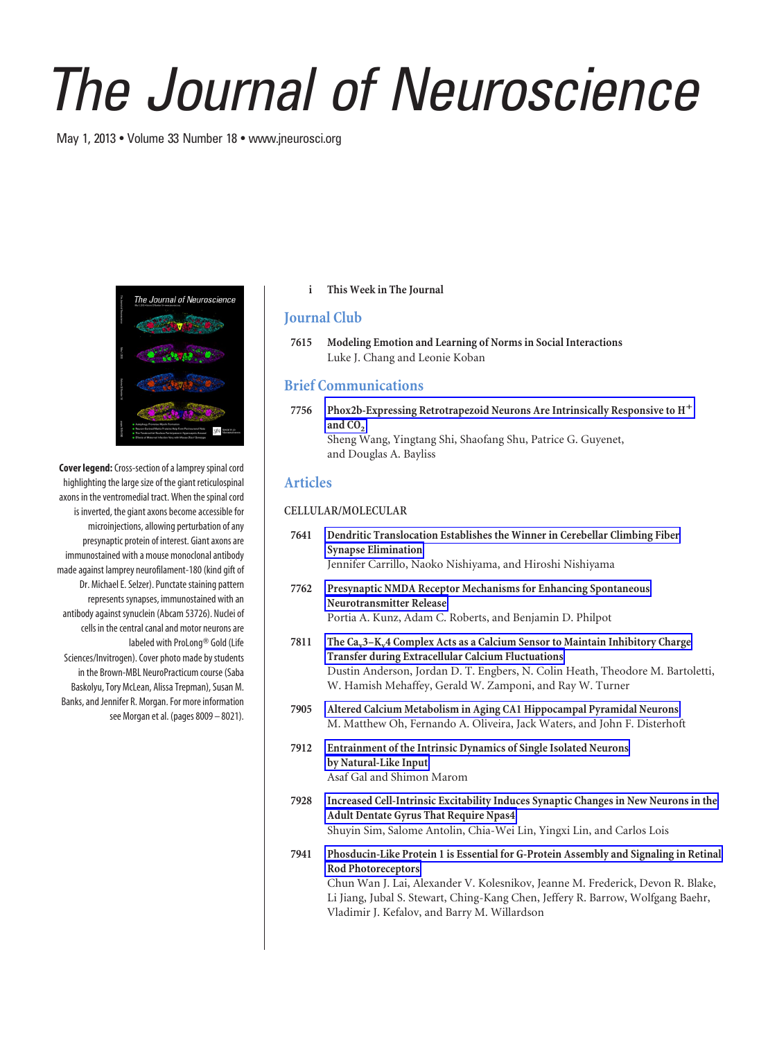# *The Journal of Neuroscience*

May 1, 2013 • Volume 33 Number 18 • www.jneurosci.org



**Cover legend:**Cross-section of a lamprey spinal cord highlighting the large size of the giant reticulospinal axons in the ventromedial tract. When the spinal cord is inverted, the giant axons become accessible for microinjections, allowing perturbation of any presynaptic protein of interest. Giant axons are immunostained with a mouse monoclonal antibody made against lamprey neurofilament-180 (kind gift of Dr. Michael E. Selzer). Punctate staining pattern represents synapses, immunostained with an antibody against synuclein (Abcam 53726). Nuclei of cells in the central canal and motor neurons are labeled with ProLong<sup>®</sup> Gold (Life Sciences/Invitrogen). Cover photo made by students in the Brown-MBL NeuroPracticum course (Saba Baskolyu, Tory McLean, Alissa Trepman), Susan M. Banks, and Jennifer R. Morgan. For more information see Morgan et al. (pages 8009 – 8021).

**i This Week in The Journal**

## **Journal Club**

**7615 Modeling Emotion and Learning of Norms in Social Interactions** Luke J. Chang and Leonie Koban

# **Brief Communications**

**7756 Phox2b-Expressing Retrotrapezoid Neurons Are Intrinsically Responsive to H** and CO<sub>2</sub> Sheng Wang, Yingtang Shi, Shaofang Shu, Patrice G. Guyenet, and Douglas A. Bayliss

## **Articles**

#### **CELLULAR/MOLECULAR**

- **7641 Dendritic Translocation Establishes the Winner in Cerebellar Climbing Fiber Synapse Elimination** Jennifer Carrillo, Naoko Nishiyama, and Hiroshi Nishiyama
- **7762 Presynaptic NMDA Receptor Mechanisms for Enhancing Spontaneous Neurotransmitter Release** Portia A. Kunz, Adam C. Roberts, and Benjamin D. Philpot
- 7811 The Ca<sub>v</sub>3–K<sub>v</sub>4 Complex Acts as a Calcium Sensor to Maintain Inhibitory Charge **Transfer during Extracellular Calcium Fluctuations** Dustin Anderson, Jordan D. T. Engbers, N. Colin Heath, Theodore M. Bartoletti, W. Hamish Mehaffey, Gerald W. Zamponi, and Ray W. Turner
- **7905 Altered Calcium Metabolism in Aging CA1 Hippocampal Pyramidal Neurons** M. Matthew Oh, Fernando A. Oliveira, Jack Waters, and John F. Disterhoft
- **7912 Entrainment of the Intrinsic Dynamics of Single Isolated Neurons by Natural-Like Input** Asaf Gal and Shimon Marom
- **7928 Increased Cell-Intrinsic Excitability Induces Synaptic Changes in New Neurons in the Adult Dentate Gyrus That Require Npas4** Shuyin Sim, Salome Antolin, Chia-Wei Lin, Yingxi Lin, and Carlos Lois
- **7941 Phosducin-Like Protein 1 is Essential for G-Protein Assembly and Signaling in Retinal Rod Photoreceptors**

Chun Wan J. Lai, Alexander V. Kolesnikov, Jeanne M. Frederick, Devon R. Blake, Li Jiang, Jubal S. Stewart, Ching-Kang Chen, Jeffery R. Barrow, Wolfgang Baehr, Vladimir J. Kefalov, and Barry M. Willardson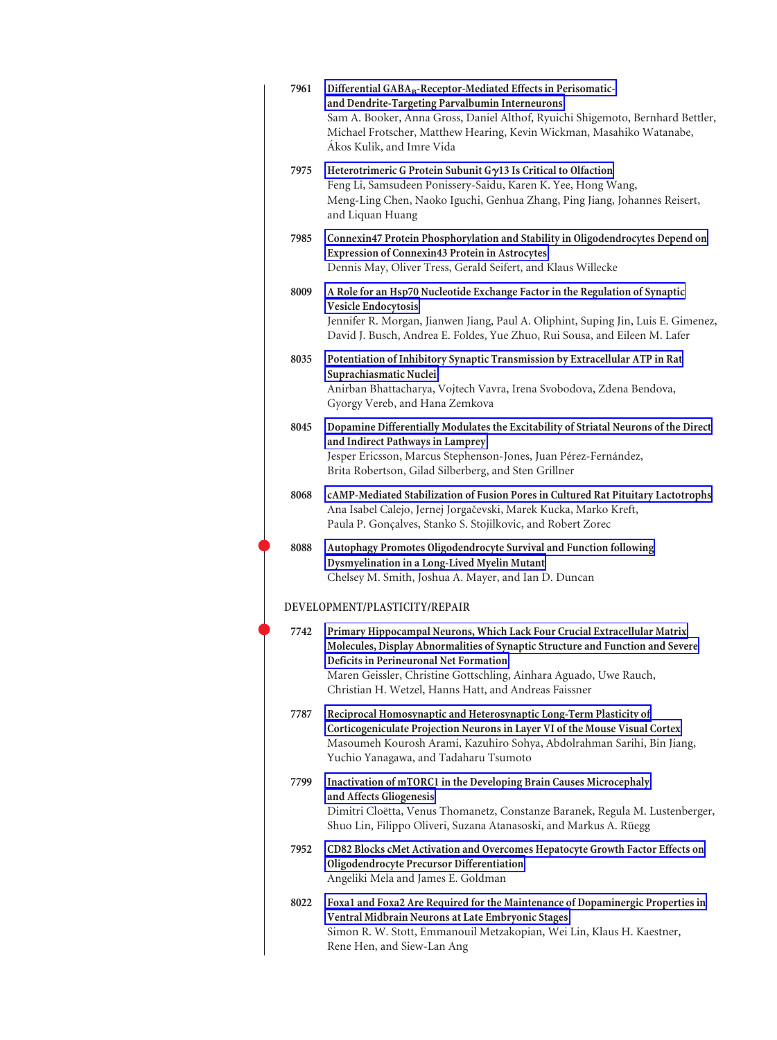| 7961 | Differential GABA <sub>B</sub> -Receptor-Mediated Effects in Perisomatic-<br>and Dendrite-Targeting Parvalbumin Interneurons<br>Sam A. Booker, Anna Gross, Daniel Althof, Ryuichi Shigemoto, Bernhard Bettler,<br>Michael Frotscher, Matthew Hearing, Kevin Wickman, Masahiko Watanabe,<br>Ákos Kulik, and Imre Vida                |
|------|-------------------------------------------------------------------------------------------------------------------------------------------------------------------------------------------------------------------------------------------------------------------------------------------------------------------------------------|
| 7975 | Heterotrimeric G Protein Subunit Gγ13 Is Critical to Olfaction<br>Feng Li, Samsudeen Ponissery-Saidu, Karen K. Yee, Hong Wang,<br>Meng-Ling Chen, Naoko Iguchi, Genhua Zhang, Ping Jiang, Johannes Reisert,<br>and Liquan Huang                                                                                                     |
| 7985 | Connexin47 Protein Phosphorylation and Stability in Oligodendrocytes Depend on<br><b>Expression of Connexin43 Protein in Astrocytes</b><br>Dennis May, Oliver Tress, Gerald Seifert, and Klaus Willecke                                                                                                                             |
| 8009 | A Role for an Hsp70 Nucleotide Exchange Factor in the Regulation of Synaptic<br>Vesicle Endocytosis<br>Jennifer R. Morgan, Jianwen Jiang, Paul A. Oliphint, Suping Jin, Luis E. Gimenez,<br>David J. Busch, Andrea E. Foldes, Yue Zhuo, Rui Sousa, and Eileen M. Lafer                                                              |
| 8035 | Potentiation of Inhibitory Synaptic Transmission by Extracellular ATP in Rat<br>Suprachiasmatic Nuclei<br>Anirban Bhattacharya, Vojtech Vavra, Irena Svobodova, Zdena Bendova,<br>Gyorgy Vereb, and Hana Zemkova                                                                                                                    |
| 8045 | Dopamine Differentially Modulates the Excitability of Striatal Neurons of the Direct<br>and Indirect Pathways in Lamprey<br>Jesper Ericsson, Marcus Stephenson-Jones, Juan Pérez-Fernández,<br>Brita Robertson, Gilad Silberberg, and Sten Grillner                                                                                 |
| 8068 | cAMP-Mediated Stabilization of Fusion Pores in Cultured Rat Pituitary Lactotrophs<br>Ana Isabel Calejo, Jernej Jorgačevski, Marek Kucka, Marko Kreft,<br>Paula P. Gonçalves, Stanko S. Stojilkovic, and Robert Zorec                                                                                                                |
| 8088 | Autophagy Promotes Oligodendrocyte Survival and Function following<br>Dysmyelination in a Long-Lived Myelin Mutant<br>Chelsey M. Smith, Joshua A. Mayer, and Ian D. Duncan                                                                                                                                                          |
|      | DEVELOPMENT/PLASTICITY/REPAIR                                                                                                                                                                                                                                                                                                       |
| 7742 | Primary Hippocampal Neurons, Which Lack Four Crucial Extracellular Matrix<br>Molecules, Display Abnormalities of Synaptic Structure and Function and Severe<br>Deficits in Perineuronal Net Formation<br>Maren Geissler, Christine Gottschling, Ainhara Aguado, Uwe Rauch,<br>Christian H. Wetzel, Hanns Hatt, and Andreas Faissner |
| 7787 | Reciprocal Homosynaptic and Heterosynaptic Long-Term Plasticity of<br>Corticogeniculate Projection Neurons in Layer VI of the Mouse Visual Cortex<br>Masoumeh Kourosh Arami, Kazuhiro Sohya, Abdolrahman Sarihi, Bin Jiang,<br>Yuchio Yanagawa, and Tadaharu Tsumoto                                                                |
| 7799 | Inactivation of mTORC1 in the Developing Brain Causes Microcephaly<br>and Affects Gliogenesis<br>Dimitri Cloëtta, Venus Thomanetz, Constanze Baranek, Regula M. Lustenberger,<br>Shuo Lin, Filippo Oliveri, Suzana Atanasoski, and Markus A. Rüegg                                                                                  |
| 7952 | CD82 Blocks cMet Activation and Overcomes Hepatocyte Growth Factor Effects on<br>Oligodendrocyte Precursor Differentiation<br>Angeliki Mela and James E. Goldman                                                                                                                                                                    |
| 8022 | Foxa1 and Foxa2 Are Required for the Maintenance of Dopaminergic Properties in<br>Ventral Midbrain Neurons at Late Embryonic Stages<br>Simon R. W. Stott, Emmanouil Metzakopian, Wei Lin, Klaus H. Kaestner,<br>Rene Hen, and Siew-Lan Ang                                                                                          |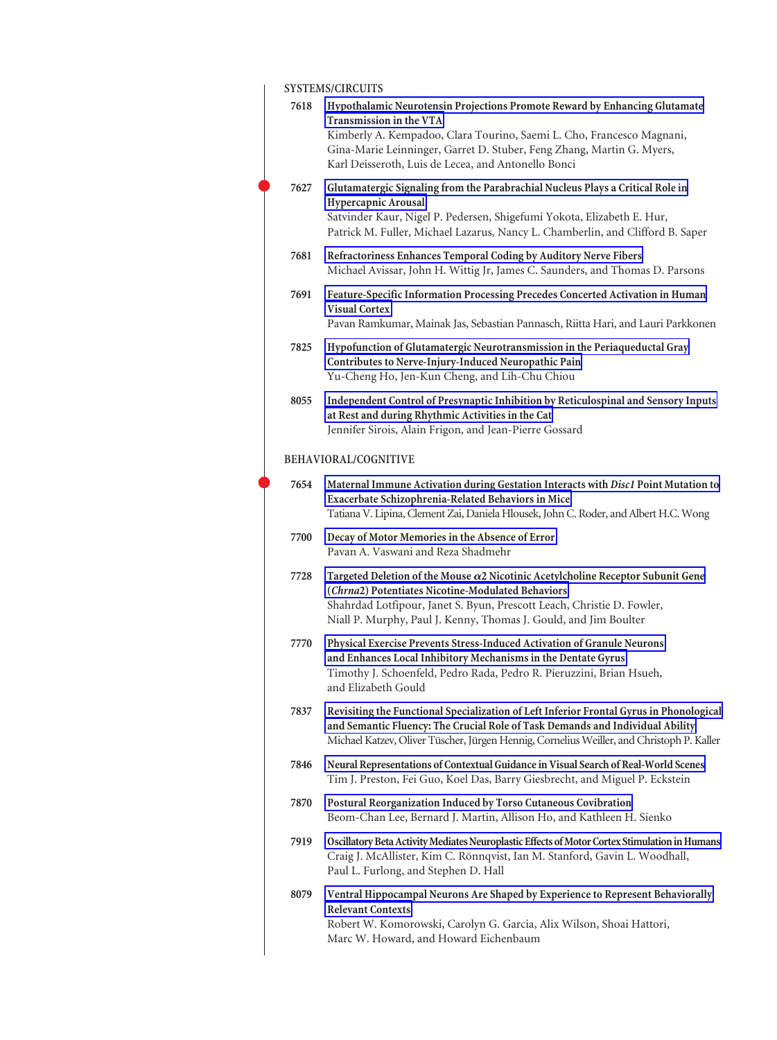| <b>SYSTEMS/CIRCUITS</b> |
|-------------------------|
|-------------------------|

| 7618 | Hypothalamic Neurotensin Projections Promote Reward by Enhancing Glutamate<br>Transmission in the VTA<br>Kimberly A. Kempadoo, Clara Tourino, Saemi L. Cho, Francesco Magnani,<br>Gina-Marie Leinninger, Garret D. Stuber, Feng Zhang, Martin G. Myers,<br>Karl Deisseroth, Luis de Lecea, and Antonello Bonci |
|------|----------------------------------------------------------------------------------------------------------------------------------------------------------------------------------------------------------------------------------------------------------------------------------------------------------------|
| 7627 | Glutamatergic Signaling from the Parabrachial Nucleus Plays a Critical Role in<br>Hypercapnic Arousal<br>Satvinder Kaur, Nigel P. Pedersen, Shigefumi Yokota, Elizabeth E. Hur,<br>Patrick M. Fuller, Michael Lazarus, Nancy L. Chamberlin, and Clifford B. Saper                                              |
| 7681 | Refractoriness Enhances Temporal Coding by Auditory Nerve Fibers<br>Michael Avissar, John H. Wittig Jr, James C. Saunders, and Thomas D. Parsons                                                                                                                                                               |
| 7691 | Feature-Specific Information Processing Precedes Concerted Activation in Human<br><b>Visual Cortex</b><br>Pavan Ramkumar, Mainak Jas, Sebastian Pannasch, Riitta Hari, and Lauri Parkkonen                                                                                                                     |
| 7825 | Hypofunction of Glutamatergic Neurotransmission in the Periaqueductal Gray<br>Contributes to Nerve-Injury-Induced Neuropathic Pain<br>Yu-Cheng Ho, Jen-Kun Cheng, and Lih-Chu Chiou                                                                                                                            |
| 8055 | Independent Control of Presynaptic Inhibition by Reticulospinal and Sensory Inputs<br>at Rest and during Rhythmic Activities in the Cat<br>Jennifer Sirois, Alain Frigon, and Jean-Pierre Gossard                                                                                                              |
|      | BEHAVIORAL/COGNITIVE                                                                                                                                                                                                                                                                                           |
| 7654 | Maternal Immune Activation during Gestation Interacts with Disc1 Point Mutation to<br>Exacerbate Schizophrenia-Related Behaviors in Mice<br>Tatiana V. Lipina, Clement Zai, Daniela Hlousek, John C. Roder, and Albert H.C. Wong                                                                               |
| 7700 | Decay of Motor Memories in the Absence of Error<br>Pavan A. Vaswani and Reza Shadmehr                                                                                                                                                                                                                          |
| 7728 | Targeted Deletion of the Mouse $\alpha$ 2 Nicotinic Acetylcholine Receptor Subunit Gene<br>(Chrna2) Potentiates Nicotine-Modulated Behaviors<br>Shahrdad Lotfipour, Janet S. Byun, Prescott Leach, Christie D. Fowler,<br>Niall P. Murphy, Paul J. Kenny, Thomas J. Gould, and Jim Boulter                     |
| 7770 | Physical Exercise Prevents Stress-Induced Activation of Granule Neurons<br>and Enhances Local Inhibitory Mechanisms in the Dentate Gyrus<br>Timothy J. Schoenfeld, Pedro Rada, Pedro R. Pieruzzini, Brian Hsueh,<br>and Elizabeth Gould                                                                        |
| 7837 | Revisiting the Functional Specialization of Left Inferior Frontal Gyrus in Phonological<br>and Semantic Fluency: The Crucial Role of Task Demands and Individual Ability<br>Michael Katzev, Oliver Tüscher, Jürgen Hennig, Cornelius Weiller, and Christoph P. Kaller                                          |
| 7846 | Neural Representations of Contextual Guidance in Visual Search of Real-World Scenes<br>Tim J. Preston, Fei Guo, Koel Das, Barry Giesbrecht, and Miguel P. Eckstein                                                                                                                                             |
| 7870 | Postural Reorganization Induced by Torso Cutaneous Covibration<br>Beom-Chan Lee, Bernard J. Martin, Allison Ho, and Kathleen H. Sienko                                                                                                                                                                         |
| 7919 | Oscillatory Beta Activity Mediates Neuroplastic Effects of Motor Cortex Stimulation in Humans<br>Craig J. McAllister, Kim C. Rönnqvist, Ian M. Stanford, Gavin L. Woodhall,<br>Paul L. Furlong, and Stephen D. Hall                                                                                            |
| 8079 | Ventral Hippocampal Neurons Are Shaped by Experience to Represent Behaviorally<br><b>Relevant Contexts</b>                                                                                                                                                                                                     |
|      | Robert W. Komorowski, Carolyn G. Garcia, Alix Wilson, Shoai Hattori,<br>Marc W. Howard, and Howard Eichenbaum                                                                                                                                                                                                  |